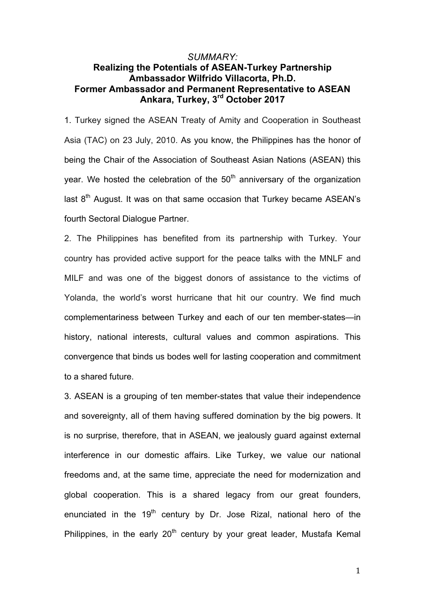## *SUMMARY:* **Realizing the Potentials of ASEAN-Turkey Partnership Ambassador Wilfrido Villacorta, Ph.D. Former Ambassador and Permanent Representative to ASEAN Ankara, Turkey, 3rd October 2017**

1. Turkey signed the ASEAN Treaty of Amity and Cooperation in Southeast Asia (TAC) on 23 July, 2010. As you know, the Philippines has the honor of being the Chair of the Association of Southeast Asian Nations (ASEAN) this year. We hosted the celebration of the  $50<sup>th</sup>$  anniversary of the organization last  $8<sup>th</sup>$  August. It was on that same occasion that Turkey became ASEAN's fourth Sectoral Dialogue Partner.

2. The Philippines has benefited from its partnership with Turkey. Your country has provided active support for the peace talks with the MNLF and MILF and was one of the biggest donors of assistance to the victims of Yolanda, the world's worst hurricane that hit our country. We find much complementariness between Turkey and each of our ten member-states—in history, national interests, cultural values and common aspirations. This convergence that binds us bodes well for lasting cooperation and commitment to a shared future.

3. ASEAN is a grouping of ten member-states that value their independence and sovereignty, all of them having suffered domination by the big powers. It is no surprise, therefore, that in ASEAN, we jealously guard against external interference in our domestic affairs. Like Turkey, we value our national freedoms and, at the same time, appreciate the need for modernization and global cooperation. This is a shared legacy from our great founders, enunciated in the  $19<sup>th</sup>$  century by Dr. Jose Rizal, national hero of the Philippines, in the early  $20<sup>th</sup>$  century by your great leader, Mustafa Kemal

1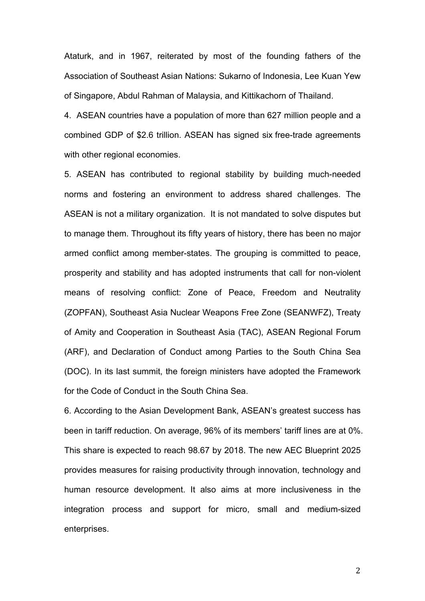Ataturk, and in 1967, reiterated by most of the founding fathers of the Association of Southeast Asian Nations: Sukarno of Indonesia, Lee Kuan Yew of Singapore, Abdul Rahman of Malaysia, and Kittikachorn of Thailand.

4. ASEAN countries have a population of more than 627 million people and a combined GDP of \$2.6 trillion. ASEAN has signed six free-trade agreements with other regional economies.

5. ASEAN has contributed to regional stability by building much-needed norms and fostering an environment to address shared challenges. The ASEAN is not a military organization. It is not mandated to solve disputes but to manage them. Throughout its fifty years of history, there has been no major armed conflict among member-states. The grouping is committed to peace, prosperity and stability and has adopted instruments that call for non-violent means of resolving conflict: Zone of Peace, Freedom and Neutrality (ZOPFAN), Southeast Asia Nuclear Weapons Free Zone (SEANWFZ), Treaty of Amity and Cooperation in Southeast Asia (TAC), ASEAN Regional Forum (ARF), and Declaration of Conduct among Parties to the South China Sea (DOC). In its last summit, the foreign ministers have adopted the Framework for the Code of Conduct in the South China Sea.

6. According to the Asian Development Bank, ASEAN's greatest success has been in tariff reduction. On average, 96% of its members' tariff lines are at 0%. This share is expected to reach 98.67 by 2018. The new AEC Blueprint 2025 provides measures for raising productivity through innovation, technology and human resource development. It also aims at more inclusiveness in the integration process and support for micro, small and medium-sized enterprises.

2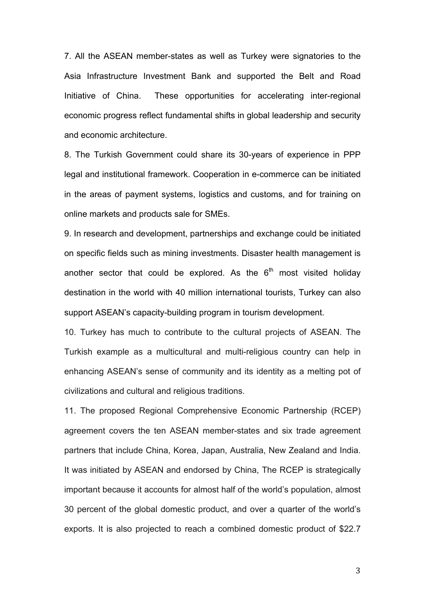7. All the ASEAN member-states as well as Turkey were signatories to the Asia Infrastructure Investment Bank and supported the Belt and Road Initiative of China. These opportunities for accelerating inter-regional economic progress reflect fundamental shifts in global leadership and security and economic architecture.

8. The Turkish Government could share its 30-years of experience in PPP legal and institutional framework. Cooperation in e-commerce can be initiated in the areas of payment systems, logistics and customs, and for training on online markets and products sale for SMEs.

9. In research and development, partnerships and exchange could be initiated on specific fields such as mining investments. Disaster health management is another sector that could be explored. As the  $6<sup>th</sup>$  most visited holiday destination in the world with 40 million international tourists, Turkey can also support ASEAN's capacity-building program in tourism development.

10. Turkey has much to contribute to the cultural projects of ASEAN. The Turkish example as a multicultural and multi-religious country can help in enhancing ASEAN's sense of community and its identity as a melting pot of civilizations and cultural and religious traditions.

11. The proposed Regional Comprehensive Economic Partnership (RCEP) agreement covers the ten ASEAN member-states and six trade agreement partners that include China, Korea, Japan, Australia, New Zealand and India. It was initiated by ASEAN and endorsed by China, The RCEP is strategically important because it accounts for almost half of the world's population, almost 30 percent of the global domestic product, and over a quarter of the world's exports. It is also projected to reach a combined domestic product of \$22.7

3